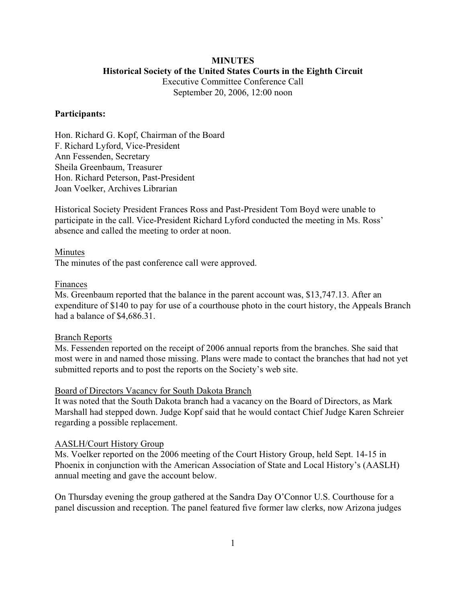# **MINUTES**

## **Historical Society of the United States Courts in the Eighth Circuit**

Executive Committee Conference Call September 20, 2006, 12:00 noon

#### **Participants:**

Hon. Richard G. Kopf, Chairman of the Board F. Richard Lyford, Vice-President Ann Fessenden, Secretary Sheila Greenbaum, Treasurer Hon. Richard Peterson, Past-President Joan Voelker, Archives Librarian

Historical Society President Frances Ross and Past-President Tom Boyd were unable to participate in the call. Vice-President Richard Lyford conducted the meeting in Ms. Ross' absence and called the meeting to order at noon.

#### Minutes

The minutes of the past conference call were approved.

#### Finances

Ms. Greenbaum reported that the balance in the parent account was, \$13,747.13. After an expenditure of \$140 to pay for use of a courthouse photo in the court history, the Appeals Branch had a balance of \$4,686.31.

#### Branch Reports

Ms. Fessenden reported on the receipt of 2006 annual reports from the branches. She said that most were in and named those missing. Plans were made to contact the branches that had not yet submitted reports and to post the reports on the Society's web site.

#### Board of Directors Vacancy for South Dakota Branch

It was noted that the South Dakota branch had a vacancy on the Board of Directors, as Mark Marshall had stepped down. Judge Kopf said that he would contact Chief Judge Karen Schreier regarding a possible replacement.

#### AASLH/Court History Group

Ms. Voelker reported on the 2006 meeting of the Court History Group, held Sept. 14-15 in Phoenix in conjunction with the American Association of State and Local History's (AASLH) annual meeting and gave the account below.

On Thursday evening the group gathered at the Sandra Day O'Connor U.S. Courthouse for a panel discussion and reception. The panel featured five former law clerks, now Arizona judges